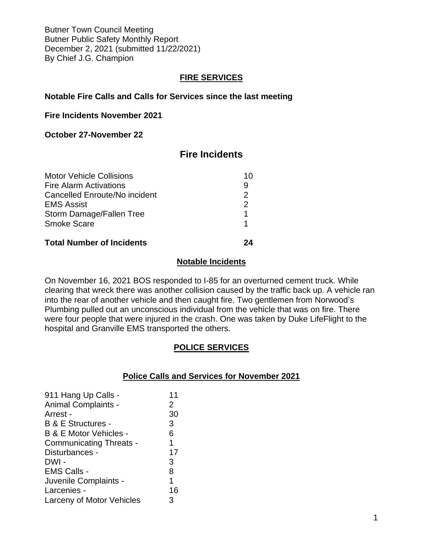Butner Town Council Meeting Butner Public Safety Monthly Report December 2, 2021 (submitted 11/22/2021) By Chief J.G. Champion

## **FIRE SERVICES**

## **Notable Fire Calls and Calls for Services since the last meeting**

#### **Fire Incidents November 2021**

## **October 27-November 22**

# **Fire Incidents**

| <b>Motor Vehicle Collisions</b><br><b>Fire Alarm Activations</b> | 10<br>9       |
|------------------------------------------------------------------|---------------|
| Cancelled Enroute/No incident                                    | $\mathcal{P}$ |
| <b>EMS Assist</b>                                                | $\mathcal{P}$ |
| Storm Damage/Fallen Tree                                         | 1             |
| <b>Smoke Scare</b>                                               |               |
| <b>Total Number of Incidents</b>                                 |               |

#### **Notable Incidents**

On November 16, 2021 BOS responded to I-85 for an overturned cement truck. While clearing that wreck there was another collision caused by the traffic back up. A vehicle ran into the rear of another vehicle and then caught fire. Two gentlemen from Norwood's Plumbing pulled out an unconscious individual from the vehicle that was on fire. There were four people that were injured in the crash. One was taken by Duke LifeFlight to the hospital and Granville EMS transported the others.

## **POLICE SERVICES**

#### **Police Calls and Services for November 2021**

| 911 Hang Up Calls -               | 11             |
|-----------------------------------|----------------|
|                                   |                |
| <b>Animal Complaints -</b>        | $\overline{2}$ |
| Arrest -                          | 30             |
| <b>B &amp; E Structures -</b>     | 3              |
| <b>B &amp; E Motor Vehicles -</b> | 6              |
| <b>Communicating Threats -</b>    | 1              |
| Disturbances -                    | 17             |
| DWI -                             | 3              |
| <b>EMS Calls -</b>                | 8              |
| Juvenile Complaints -             | 1              |
| Larcenies -                       | 16             |
| Larceny of Motor Vehicles         | 3              |